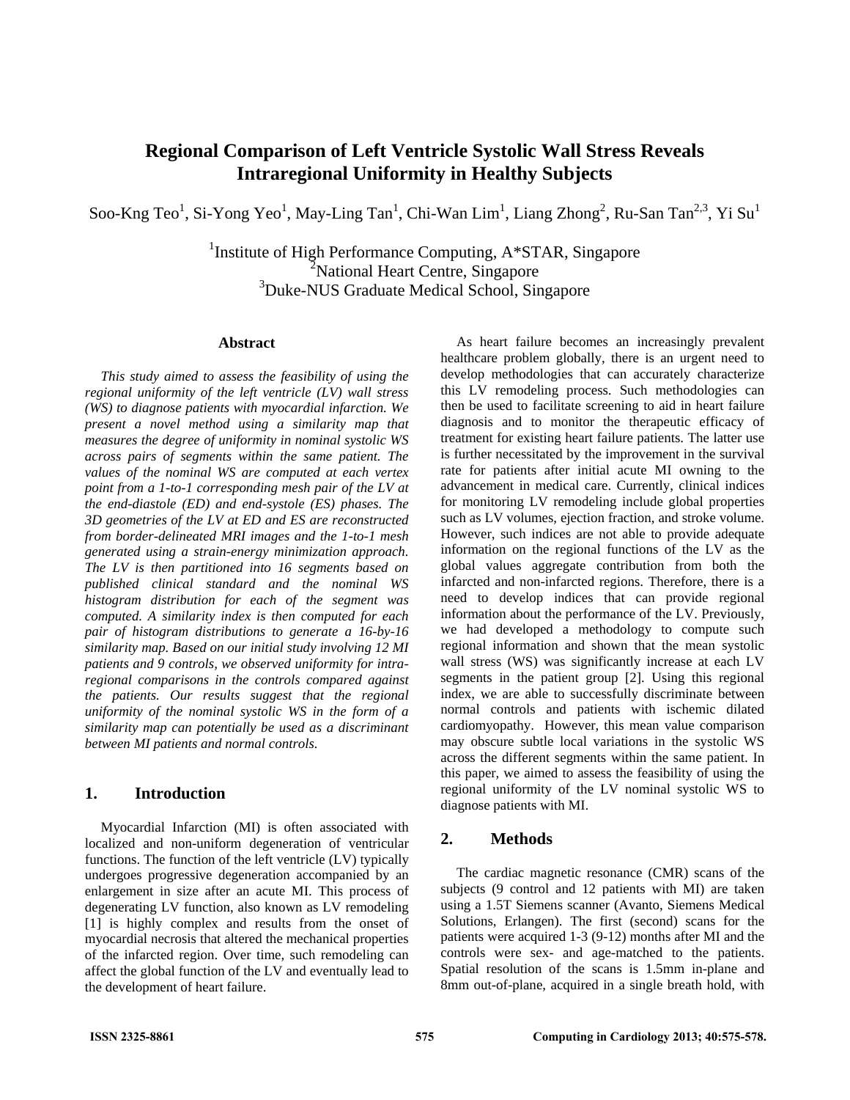# **Regional Comparison of Left Ventricle Systolic Wall Stress Reveals Intraregional Uniformity in Healthy Subjects**

Soo-Kng Teo<sup>1</sup>, Si-Yong Yeo<sup>1</sup>, May-Ling Tan<sup>1</sup>, Chi-Wan Lim<sup>1</sup>, Liang Zhong<sup>2</sup>, Ru-San Tan<sup>2,3</sup>, Yi Su<sup>1</sup>

<sup>1</sup>Institute of High Performance Computing, A\*STAR, Singapore <sup>2</sup>National Heart Centre, Singapore 3 Duke-NUS Graduate Medical School, Singapore

#### **Abstract**

*This study aimed to assess the feasibility of using the regional uniformity of the left ventricle (LV) wall stress (WS) to diagnose patients with myocardial infarction. We present a novel method using a similarity map that measures the degree of uniformity in nominal systolic WS across pairs of segments within the same patient. The values of the nominal WS are computed at each vertex point from a 1-to-1 corresponding mesh pair of the LV at the end-diastole (ED) and end-systole (ES) phases. The 3D geometries of the LV at ED and ES are reconstructed from border-delineated MRI images and the 1-to-1 mesh generated using a strain-energy minimization approach. The LV is then partitioned into 16 segments based on published clinical standard and the nominal WS histogram distribution for each of the segment was computed. A similarity index is then computed for each pair of histogram distributions to generate a 16-by-16 similarity map. Based on our initial study involving 12 MI patients and 9 controls, we observed uniformity for intraregional comparisons in the controls compared against the patients. Our results suggest that the regional uniformity of the nominal systolic WS in the form of a similarity map can potentially be used as a discriminant between MI patients and normal controls.* 

### **1. Introduction**

Myocardial Infarction (MI) is often associated with localized and non-uniform degeneration of ventricular functions. The function of the left ventricle (LV) typically undergoes progressive degeneration accompanied by an enlargement in size after an acute MI. This process of degenerating LV function, also known as LV remodeling [1] is highly complex and results from the onset of myocardial necrosis that altered the mechanical properties of the infarcted region. Over time, such remodeling can affect the global function of the LV and eventually lead to the development of heart failure.

As heart failure becomes an increasingly prevalent healthcare problem globally, there is an urgent need to develop methodologies that can accurately characterize this LV remodeling process. Such methodologies can then be used to facilitate screening to aid in heart failure diagnosis and to monitor the therapeutic efficacy of treatment for existing heart failure patients. The latter use is further necessitated by the improvement in the survival rate for patients after initial acute MI owning to the advancement in medical care. Currently, clinical indices for monitoring LV remodeling include global properties such as LV volumes, ejection fraction, and stroke volume. However, such indices are not able to provide adequate information on the regional functions of the LV as the global values aggregate contribution from both the infarcted and non-infarcted regions. Therefore, there is a need to develop indices that can provide regional information about the performance of the LV. Previously, we had developed a methodology to compute such regional information and shown that the mean systolic wall stress (WS) was significantly increase at each LV segments in the patient group [2]. Using this regional index, we are able to successfully discriminate between normal controls and patients with ischemic dilated cardiomyopathy. However, this mean value comparison may obscure subtle local variations in the systolic WS across the different segments within the same patient. In this paper, we aimed to assess the feasibility of using the regional uniformity of the LV nominal systolic WS to diagnose patients with MI.

## **2. Methods**

The cardiac magnetic resonance (CMR) scans of the subjects (9 control and 12 patients with MI) are taken using a 1.5T Siemens scanner (Avanto, Siemens Medical Solutions, Erlangen). The first (second) scans for the patients were acquired 1-3 (9-12) months after MI and the controls were sex- and age-matched to the patients. Spatial resolution of the scans is 1.5mm in-plane and 8mm out-of-plane, acquired in a single breath hold, with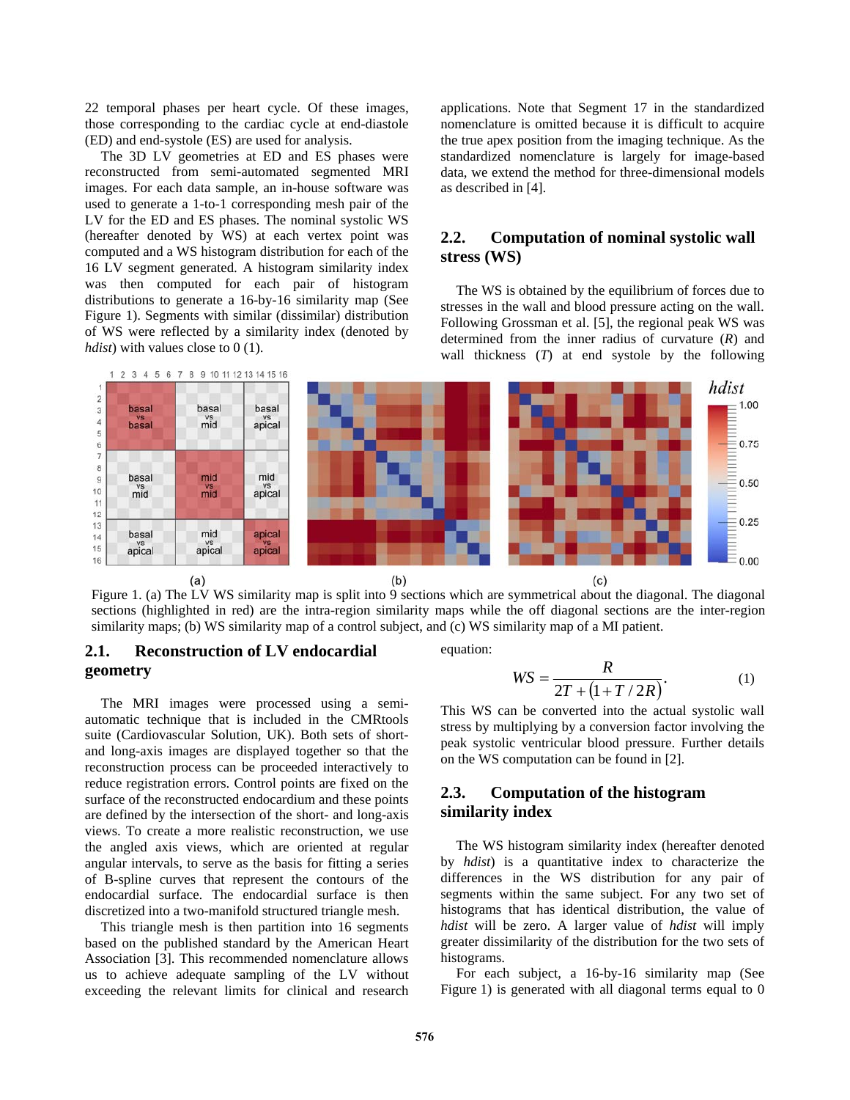22 temporal phases per heart cycle. Of these images, those corresponding to the cardiac cycle at end-diastole (ED) and end-systole (ES) are used for analysis.

The 3D LV geometries at ED and ES phases were reconstructed from semi-automated segmented MRI images. For each data sample, an in-house software was used to generate a 1-to-1 corresponding mesh pair of the LV for the ED and ES phases. The nominal systolic WS (hereafter denoted by WS) at each vertex point was computed and a WS histogram distribution for each of the 16 LV segment generated. A histogram similarity index was then computed for each pair of histogram distributions to generate a 16-by-16 similarity map (See Figure 1). Segments with similar (dissimilar) distribution of WS were reflected by a similarity index (denoted by *hdist*) with values close to 0 (1).

applications. Note that Segment 17 in the standardized nomenclature is omitted because it is difficult to acquire the true apex position from the imaging technique. As the standardized nomenclature is largely for image-based data, we extend the method for three-dimensional models as described in [4].

## **2.2. Computation of nominal systolic wall stress (WS)**

The WS is obtained by the equilibrium of forces due to stresses in the wall and blood pressure acting on the wall. Following Grossman et al. [5], the regional peak WS was determined from the inner radius of curvature (*R*) and wall thickness (*T*) at end systole by the following



Figure 1. (a) The LV WS similarity map is split into 9 sections which are symmetrical about the diagonal. The diagonal sections (highlighted in red) are the intra-region similarity maps while the off diagonal sections are the inter-region similarity maps; (b) WS similarity map of a control subject, and (c) WS similarity map of a MI patient.

# **2.1. Reconstruction of LV endocardial geometry**

The MRI images were processed using a semiautomatic technique that is included in the CMRtools suite (Cardiovascular Solution, UK). Both sets of shortand long-axis images are displayed together so that the reconstruction process can be proceeded interactively to reduce registration errors. Control points are fixed on the surface of the reconstructed endocardium and these points are defined by the intersection of the short- and long-axis views. To create a more realistic reconstruction, we use the angled axis views, which are oriented at regular angular intervals, to serve as the basis for fitting a series of B-spline curves that represent the contours of the endocardial surface. The endocardial surface is then discretized into a two-manifold structured triangle mesh.

This triangle mesh is then partition into 16 segments based on the published standard by the American Heart Association [3]. This recommended nomenclature allows us to achieve adequate sampling of the LV without exceeding the relevant limits for clinical and research

equation:

$$
WS = \frac{R}{2T + (1 + T/2R)}.
$$
 (1)

This WS can be converted into the actual systolic wall stress by multiplying by a conversion factor involving the peak systolic ventricular blood pressure. Further details on the WS computation can be found in [2].

# **2.3. Computation of the histogram similarity index**

The WS histogram similarity index (hereafter denoted by *hdist*) is a quantitative index to characterize the differences in the WS distribution for any pair of segments within the same subject. For any two set of histograms that has identical distribution, the value of *hdist* will be zero. A larger value of *hdist* will imply greater dissimilarity of the distribution for the two sets of histograms.

For each subject, a 16-by-16 similarity map (See Figure 1) is generated with all diagonal terms equal to 0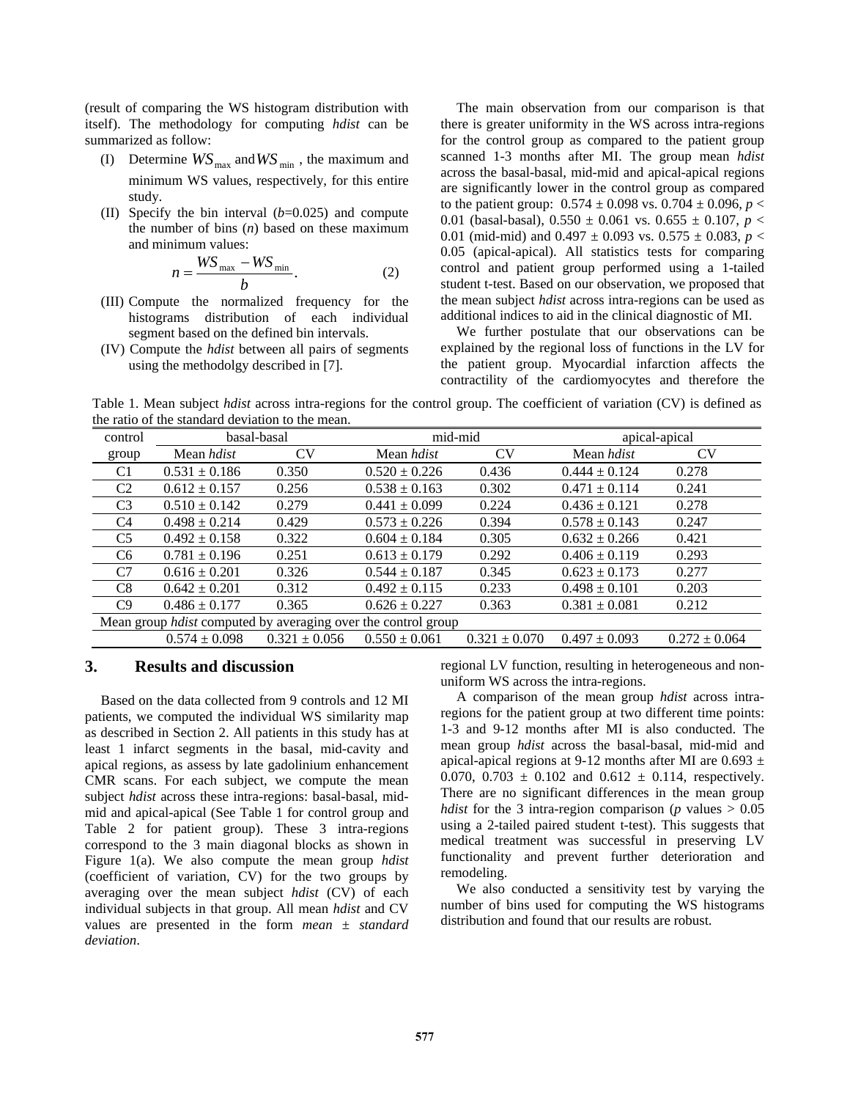(result of comparing the WS histogram distribution with itself). The methodology for computing *hdist* can be summarized as follow:

- (I) Determine  $WS_{\text{max}}$  and  $WS_{\text{min}}$ , the maximum and minimum WS values, respectively, for this entire study.
- (II) Specify the bin interval (*b*=0.025) and compute the number of bins (*n*) based on these maximum and minimum values:

$$
n = \frac{WS_{\text{max}} - WS_{\text{min}}}{b}.
$$
 (2)

- (III) Compute the normalized frequency for the histograms distribution of each individual segment based on the defined bin intervals.
- (IV) Compute the *hdist* between all pairs of segments using the methodolgy described in [7].

The main observation from our comparison is that there is greater uniformity in the WS across intra-regions for the control group as compared to the patient group scanned 1-3 months after MI. The group mean *hdist* across the basal-basal, mid-mid and apical-apical regions are significantly lower in the control group as compared to the patient group:  $0.574 \pm 0.098$  vs.  $0.704 \pm 0.096$ ,  $p <$ 0.01 (basal-basal),  $0.550 \pm 0.061$  vs.  $0.655 \pm 0.107$ ,  $p <$ 0.01 (mid-mid) and  $0.497 \pm 0.093$  vs.  $0.575 \pm 0.083$ ,  $p <$ 0.05 (apical-apical). All statistics tests for comparing control and patient group performed using a 1-tailed student t-test. Based on our observation, we proposed that the mean subject *hdist* across intra-regions can be used as additional indices to aid in the clinical diagnostic of MI.

We further postulate that our observations can be explained by the regional loss of functions in the LV for the patient group. Myocardial infarction affects the contractility of the cardiomyocytes and therefore the

Table 1. Mean subject *hdist* across intra-regions for the control group. The coefficient of variation (CV) is defined as the ratio of the standard deviation to the mean.

| control                                                              | basal-basal       |                   | mid-mid           |                   | apical-apical     |                   |  |  |  |
|----------------------------------------------------------------------|-------------------|-------------------|-------------------|-------------------|-------------------|-------------------|--|--|--|
| group                                                                | Mean <i>hdist</i> | CV                | Mean <i>hdist</i> | CV                | Mean <i>hdist</i> | <b>CV</b>         |  |  |  |
| C1                                                                   | $0.531 \pm 0.186$ | 0.350             | $0.520 \pm 0.226$ | 0.436             | $0.444 \pm 0.124$ | 0.278             |  |  |  |
| C <sub>2</sub>                                                       | $0.612 \pm 0.157$ | 0.256             | $0.538 \pm 0.163$ | 0.302             | $0.471 \pm 0.114$ | 0.241             |  |  |  |
| C <sub>3</sub>                                                       | $0.510 \pm 0.142$ | 0.279             | $0.441 \pm 0.099$ | 0.224             | $0.436 \pm 0.121$ | 0.278             |  |  |  |
| C <sub>4</sub>                                                       | $0.498 \pm 0.214$ | 0.429             | $0.573 \pm 0.226$ | 0.394             | $0.578 \pm 0.143$ | 0.247             |  |  |  |
| C5                                                                   | $0.492 \pm 0.158$ | 0.322             | $0.604 \pm 0.184$ | 0.305             | $0.632 \pm 0.266$ | 0.421             |  |  |  |
| C6                                                                   | $0.781 \pm 0.196$ | 0.251             | $0.613 \pm 0.179$ | 0.292             | $0.406 \pm 0.119$ | 0.293             |  |  |  |
| C7                                                                   | $0.616 \pm 0.201$ | 0.326             | $0.544 \pm 0.187$ | 0.345             | $0.623 \pm 0.173$ | 0.277             |  |  |  |
| C8                                                                   | $0.642 \pm 0.201$ | 0.312             | $0.492 \pm 0.115$ | 0.233             | $0.498 \pm 0.101$ | 0.203             |  |  |  |
| C9                                                                   | $0.486 \pm 0.177$ | 0.365             | $0.626 \pm 0.227$ | 0.363             | $0.381 \pm 0.081$ | 0.212             |  |  |  |
| Mean group <i>hdist</i> computed by averaging over the control group |                   |                   |                   |                   |                   |                   |  |  |  |
|                                                                      | $0.574 \pm 0.098$ | $0.321 \pm 0.056$ | $0.550 \pm 0.061$ | $0.321 \pm 0.070$ | $0.497 \pm 0.093$ | $0.272 \pm 0.064$ |  |  |  |

### **3. Results and discussion**

Based on the data collected from 9 controls and 12 MI patients, we computed the individual WS similarity map as described in Section 2. All patients in this study has at least 1 infarct segments in the basal, mid-cavity and apical regions, as assess by late gadolinium enhancement CMR scans. For each subject, we compute the mean subject *hdist* across these intra-regions: basal-basal, midmid and apical-apical (See Table 1 for control group and Table 2 for patient group). These 3 intra-regions correspond to the 3 main diagonal blocks as shown in Figure 1(a). We also compute the mean group *hdist* (coefficient of variation, CV) for the two groups by averaging over the mean subject *hdist* (CV) of each individual subjects in that group. All mean *hdist* and CV values are presented in the form *mean* ± *standard deviation*.

regional LV function, resulting in heterogeneous and nonuniform WS across the intra-regions.

A comparison of the mean group *hdist* across intraregions for the patient group at two different time points: 1-3 and 9-12 months after MI is also conducted. The mean group *hdist* across the basal-basal, mid-mid and apical-apical regions at 9-12 months after MI are  $0.693 \pm$ 0.070, 0.703  $\pm$  0.102 and 0.612  $\pm$  0.114, respectively. There are no significant differences in the mean group *hdist* for the 3 intra-region comparison ( $p$  values  $> 0.05$ using a 2-tailed paired student t-test). This suggests that medical treatment was successful in preserving LV functionality and prevent further deterioration and remodeling.

We also conducted a sensitivity test by varying the number of bins used for computing the WS histograms distribution and found that our results are robust.